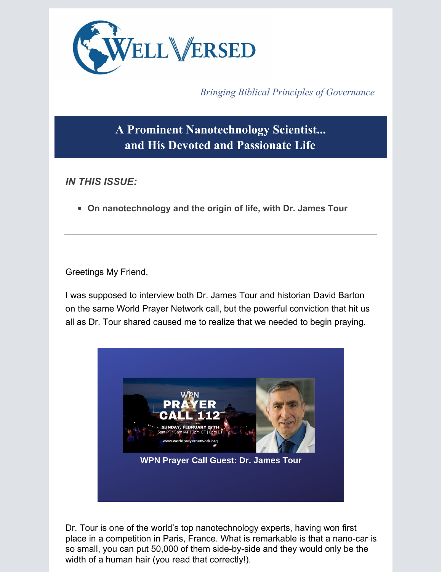

*Bringing Biblical Principles of Governance*

**A Prominent Nanotechnology Scientist... and His Devoted and Passionate Life**

*IN THIS ISSUE:*

**On nanotechnology and the origin of life, with Dr. James Tour**

Greetings My Friend,

I was supposed to interview both Dr. James Tour and historian David Barton on the same World Prayer Network call, but the powerful conviction that hit us all as Dr. Tour shared caused me to realize that we needed to begin praying.



Dr. Tour is one of the world's top nanotechnology experts, having won first place in a competition in Paris, France. What is remarkable is that a nano-car is so small, you can put 50,000 of them side-by-side and they would only be the width of a human hair (you read that correctly!).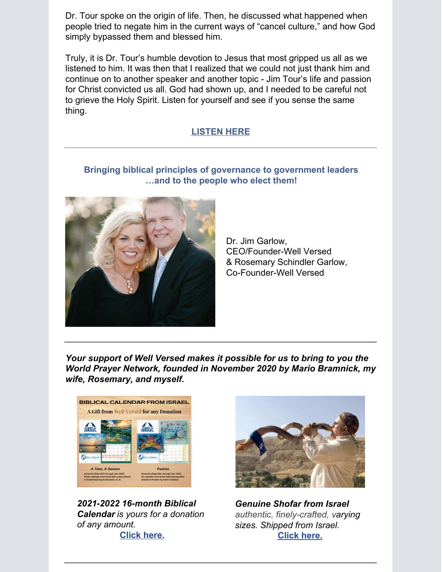Dr. Tour spoke on the origin of life. Then, he discussed what happened when people tried to negate him in the current ways of "cancel culture," and how God simply bypassed them and blessed him.

Truly, it is Dr. Tour's humble devotion to Jesus that most gripped us all as we listened to him. It was then that I realized that we could not just thank him and continue on to another speaker and another topic - Jim Tour's life and passion for Christ convicted us all. God had shown up, and I needed to be careful not to grieve the Holy Spirit. Listen for yourself and see if you sense the same thing.

## **[LISTEN](https://app.videosquirrel.app/watch/2085) HERE**

## **Bringing biblical principles of governance to government leaders …and to the people who elect them!**



Dr. Jim Garlow, CEO/Founder-Well Versed & Rosemary Schindler Garlow, Co-Founder-Well Versed

*Your support of Well Versed makes it possible for us to bring to you the World Prayer Network, founded in November 2020 by Mario Bramnick, my wife, Rosemary, and myself.*



*[2021-2022](https://www.wellversedworld.org/2021-2022-biblical-calendar/) 16-month Biblical Calendar is yours for a donation of any amount.* **[Click](https://www.wellversedworld.org/2021-2022-biblical-calendar/) here.**



*[Genuine](https://www.wellversedworld.org/shofar-2021/) Shofar from Israel authentic, finely-crafted, varying sizes. Shipped from Israel.* **[Click](https://www.wellversedworld.org/shofar-2021/) here.**